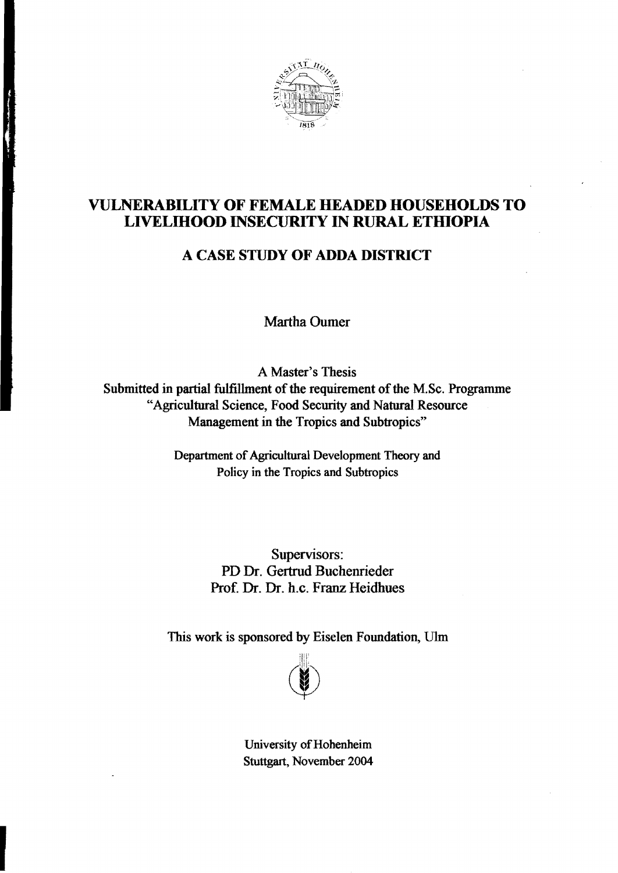

## VULNERABILITY OF FEMALE HEADED HOUSEHOLDS TO LIVELIHOOD INSECURITY IN RURAL ETHIOPIA

## A CASE STUDY OF ADDA DISTRICT

Martha Oumer

A Master's Thesis

Submitted in partial fulfillment of the requirement of the M.Sc. Programme "Agrieultural Seienee, Food Security and Natural Resomee Management in the Tropics and Subtropics"

> Department of Agricultural Development Theory and Policy in the Tropics and Subtropics

> > Supervisors: PD Dr. Gertrud Buchenrieder Prof. Dr. Dr. h.c. Franz Heidhues

This work is sponsored by Eiselen Foundation, U1m



University of Hohenheim Stuttgart, November 2004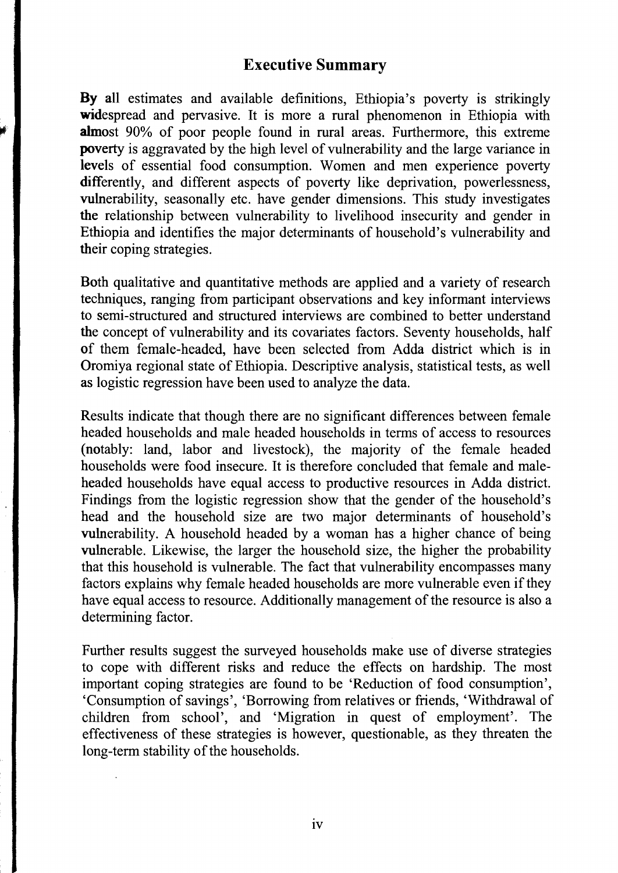## Executive Summary

By all estimates and available definitions, Ethiopia's poverty is strikingly widespread and pervasive. It is more a rural phenomenon in Ethiopia with almost 90% of poor people found in rural areas. Furthermore, this extreme poverty is aggravated by the high level of vulnerability and the large variance in levels of essential food consumption. Women and men experience poverty differently, and different aspects of poverty like deprivation, powerlessness, vulnerability, seasonally etc. have gender dimensions. This study investigates the relationship between vulnerability to livelihood insecurity and gender in Ethiopia and identifies the major determinants of household's vulnerability and their coping strategies.

Both qualitative and quantitative methods are applied and a variety of research techniques, ranging from participant observations and key informant interviews to semi-structured and structured interviews are combined to better understand the concept of vulnerability and its covariates factors. Seventy households, half of them female-headed, have been selected from Adda district which is in Oromiya regional state of Ethiopia. Descriptive analysis, statistical tests, as well as logistic regression have been used to analyze the data.

Results indicate that though there are no significant differences between female headed households and male headed households in terms of access to resources (notably: land, labor and livestock), the majority of the female headed households were food insecure. It is therefore concluded that female and maleheaded households have equal access to productive resources in Adda district. Findings from the logistic regression show that the gender of the household's head and the household size are two major determinants of household's vulnerability. A household headed by a woman has a higher chance of being vulnerable. Likewise, the larger the household size, the higher the probability that this household is vulnerable. The fact that vulnerability encompasses many factors explains why female headed households are more vulnerable even if they have equal access to resource. Additionally management of the resource is also a determining factor.

Further results suggest the surveyed households make use of diverse strategies to cope with different risks and reduce the effects on hardship. The most important coping strategies are found to be 'Reduction of food consumption', 'Consumption of savings', 'Borrowing from relatives or friends, 'Withdrawal of children from school', and 'Migration in quest of employment'. The effectiveness of these strategies is however, questionable, as they threaten the long-term stability of the households.